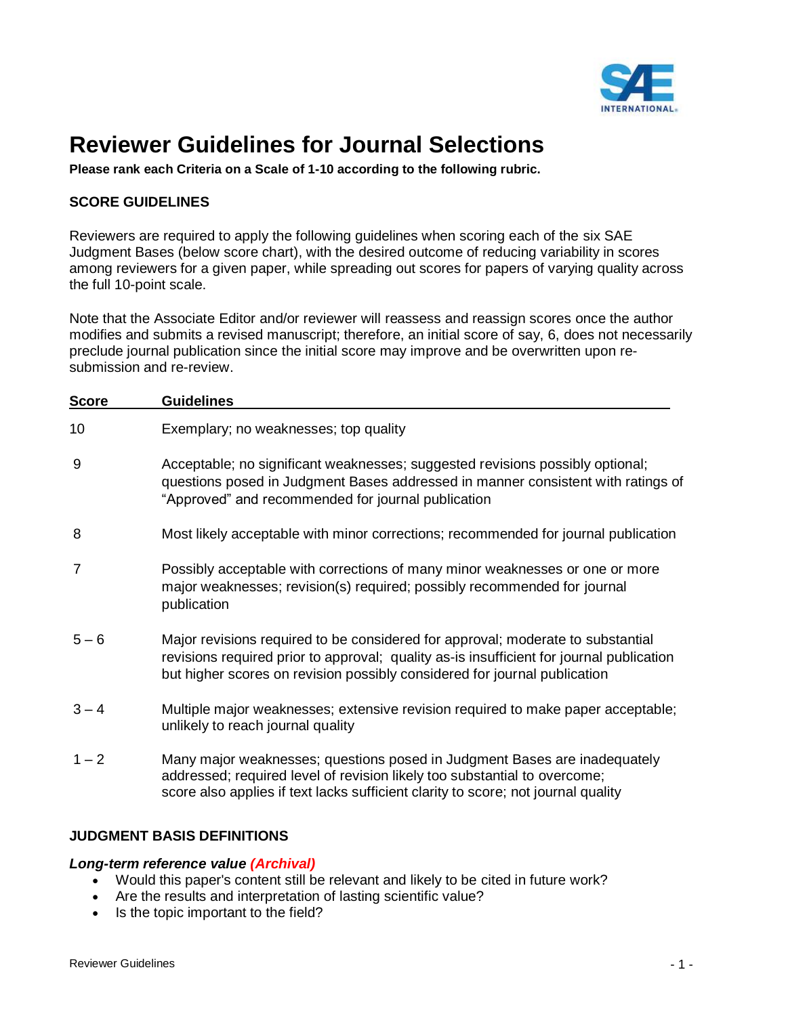

# **Reviewer Guidelines for Journal Selections**

**Please rank each Criteria on a Scale of 1-10 according to the following rubric.**

# **SCORE GUIDELINES**

Reviewers are required to apply the following guidelines when scoring each of the six SAE Judgment Bases (below score chart), with the desired outcome of reducing variability in scores among reviewers for a given paper, while spreading out scores for papers of varying quality across the full 10-point scale.

Note that the Associate Editor and/or reviewer will reassess and reassign scores once the author modifies and submits a revised manuscript; therefore, an initial score of say, 6, does not necessarily preclude journal publication since the initial score may improve and be overwritten upon resubmission and re-review.

| <b>Score</b>   | <b>Guidelines</b>                                                                                                                                                                                                                                        |  |  |  |  |
|----------------|----------------------------------------------------------------------------------------------------------------------------------------------------------------------------------------------------------------------------------------------------------|--|--|--|--|
| 10             | Exemplary; no weaknesses; top quality                                                                                                                                                                                                                    |  |  |  |  |
| 9              | Acceptable; no significant weaknesses; suggested revisions possibly optional;<br>questions posed in Judgment Bases addressed in manner consistent with ratings of<br>"Approved" and recommended for journal publication                                  |  |  |  |  |
| 8              | Most likely acceptable with minor corrections; recommended for journal publication                                                                                                                                                                       |  |  |  |  |
| $\overline{7}$ | Possibly acceptable with corrections of many minor weaknesses or one or more<br>major weaknesses; revision(s) required; possibly recommended for journal<br>publication                                                                                  |  |  |  |  |
| $5 - 6$        | Major revisions required to be considered for approval; moderate to substantial<br>revisions required prior to approval; quality as-is insufficient for journal publication<br>but higher scores on revision possibly considered for journal publication |  |  |  |  |
| $3 - 4$        | Multiple major weaknesses; extensive revision required to make paper acceptable;<br>unlikely to reach journal quality                                                                                                                                    |  |  |  |  |
| $1 - 2$        | Many major weaknesses; questions posed in Judgment Bases are inadequately<br>addressed; required level of revision likely too substantial to overcome;<br>score also applies if text lacks sufficient clarity to score; not journal quality              |  |  |  |  |

# **JUDGMENT BASIS DEFINITIONS**

#### *Long-term reference value (Archival)*

- Would this paper's content still be relevant and likely to be cited in future work?
- Are the results and interpretation of lasting scientific value?
- Is the topic important to the field?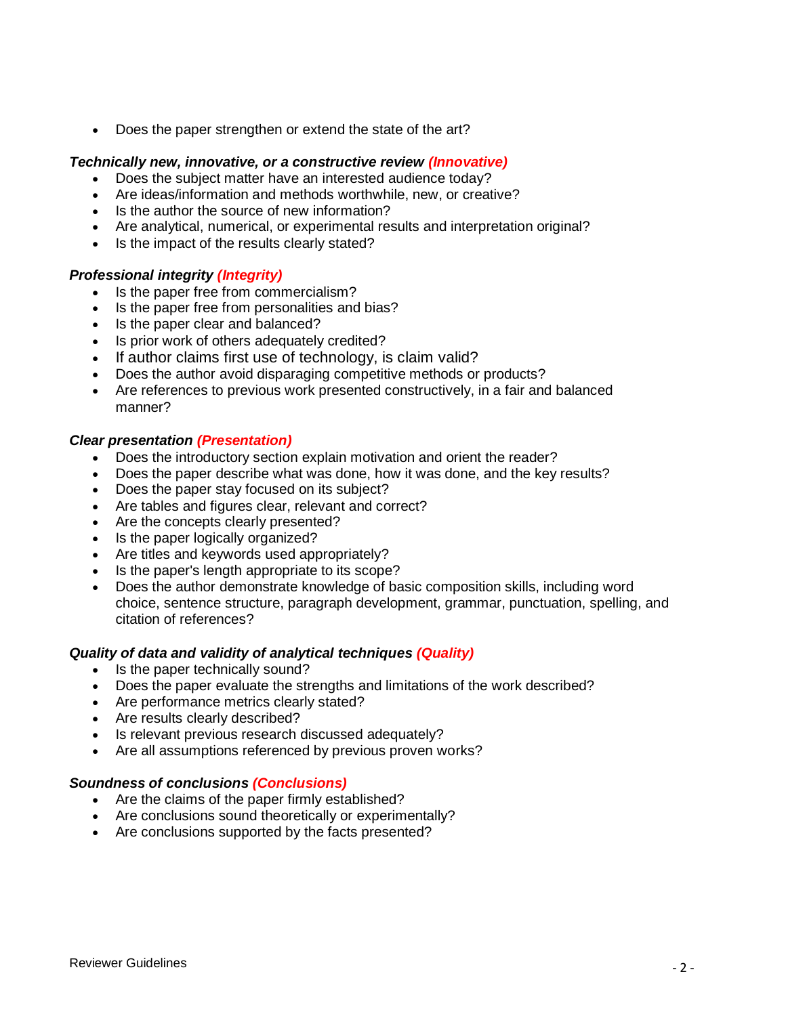• Does the paper strengthen or extend the state of the art?

## *Technically new, innovative, or a constructive review (Innovative)*

- Does the subject matter have an interested audience today?
- Are ideas/information and methods worthwhile, new, or creative?
- Is the author the source of new information?
- Are analytical, numerical, or experimental results and interpretation original?
- Is the impact of the results clearly stated?

## *Professional integrity (Integrity)*

- Is the paper free from commercialism?
- Is the paper free from personalities and bias?
- Is the paper clear and balanced?
- Is prior work of others adequately credited?
- If author claims first use of technology, is claim valid?
- Does the author avoid disparaging competitive methods or products?
- Are references to previous work presented constructively, in a fair and balanced manner?

#### *Clear presentation (Presentation)*

- Does the introductory section explain motivation and orient the reader?
- Does the paper describe what was done, how it was done, and the key results?
- Does the paper stay focused on its subject?
- Are tables and figures clear, relevant and correct?
- Are the concepts clearly presented?
- Is the paper logically organized?
- Are titles and keywords used appropriately?
- Is the paper's length appropriate to its scope?
- Does the author demonstrate knowledge of basic composition skills, including word choice, sentence structure, paragraph development, grammar, punctuation, spelling, and citation of references?

#### *Quality of data and validity of analytical techniques (Quality)*

- Is the paper technically sound?
- Does the paper evaluate the strengths and limitations of the work described?
- Are performance metrics clearly stated?
- Are results clearly described?
- Is relevant previous research discussed adequately?
- Are all assumptions referenced by previous proven works?

#### *Soundness of conclusions (Conclusions)*

- Are the claims of the paper firmly established?
- Are conclusions sound theoretically or experimentally?
- Are conclusions supported by the facts presented?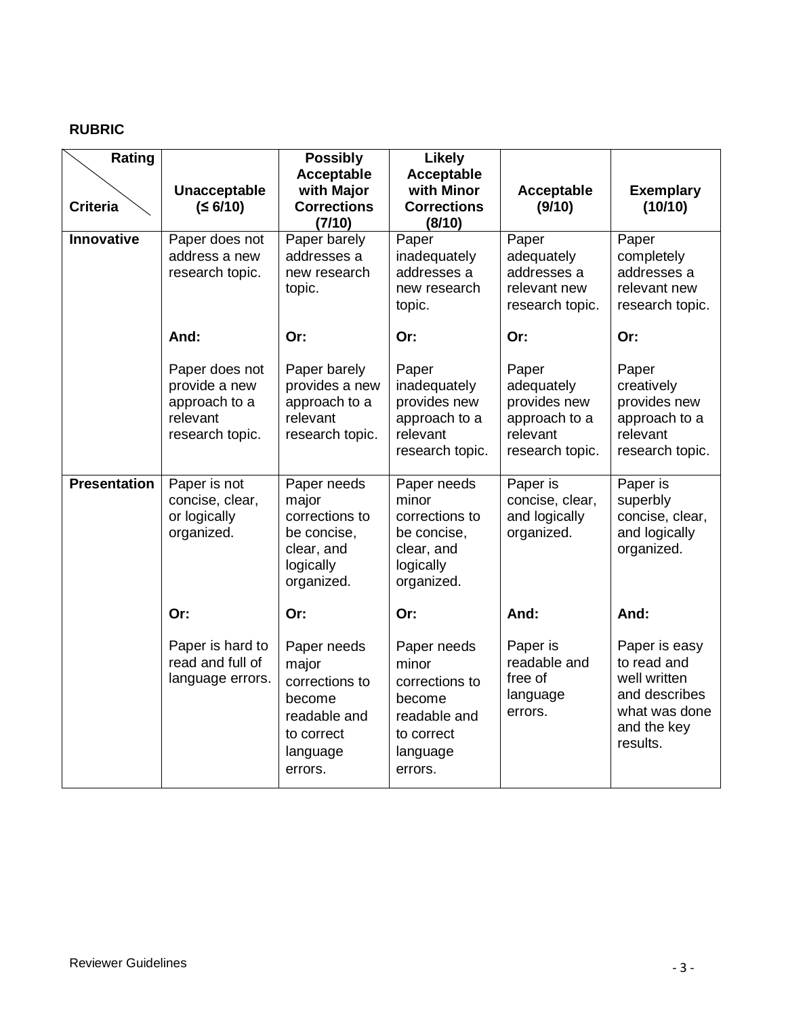# **RUBRIC**

| Rating<br><b>Criteria</b> | Unacceptable<br>(56/10)                                                         | <b>Possibly</b><br>Acceptable<br>with Major<br><b>Corrections</b><br>(7/10)                           | <b>Likely</b><br>Acceptable<br>with Minor<br><b>Corrections</b><br>(8/10)                             | Acceptable<br>(9/10)                                                                | <b>Exemplary</b><br>(10/10)                                                                               |
|---------------------------|---------------------------------------------------------------------------------|-------------------------------------------------------------------------------------------------------|-------------------------------------------------------------------------------------------------------|-------------------------------------------------------------------------------------|-----------------------------------------------------------------------------------------------------------|
| Innovative                | Paper does not<br>address a new<br>research topic.                              | Paper barely<br>addresses a<br>new research<br>topic.                                                 | Paper<br>inadequately<br>addresses a<br>new research<br>topic.                                        | Paper<br>adequately<br>addresses a<br>relevant new<br>research topic.               | Paper<br>completely<br>addresses a<br>relevant new<br>research topic.                                     |
|                           | And:                                                                            | Or:                                                                                                   | Or:                                                                                                   | Or:                                                                                 | Or:                                                                                                       |
|                           | Paper does not<br>provide a new<br>approach to a<br>relevant<br>research topic. | Paper barely<br>provides a new<br>approach to a<br>relevant<br>research topic.                        | Paper<br>inadequately<br>provides new<br>approach to a<br>relevant<br>research topic.                 | Paper<br>adequately<br>provides new<br>approach to a<br>relevant<br>research topic. | Paper<br>creatively<br>provides new<br>approach to a<br>relevant<br>research topic.                       |
| <b>Presentation</b>       | Paper is not<br>concise, clear,<br>or logically<br>organized.                   | Paper needs<br>major<br>corrections to<br>be concise,<br>clear, and<br>logically<br>organized.        | Paper needs<br>minor<br>corrections to<br>be concise,<br>clear, and<br>logically<br>organized.        | Paper is<br>concise, clear,<br>and logically<br>organized.                          | Paper is<br>superbly<br>concise, clear,<br>and logically<br>organized.                                    |
|                           | Or:                                                                             | Or:                                                                                                   | Or:                                                                                                   | And:                                                                                | And:                                                                                                      |
|                           | Paper is hard to<br>read and full of<br>language errors.                        | Paper needs<br>major<br>corrections to<br>become<br>readable and<br>to correct<br>language<br>errors. | Paper needs<br>minor<br>corrections to<br>become<br>readable and<br>to correct<br>language<br>errors. | Paper is<br>readable and<br>free of<br>language<br>errors.                          | Paper is easy<br>to read and<br>well written<br>and describes<br>what was done<br>and the key<br>results. |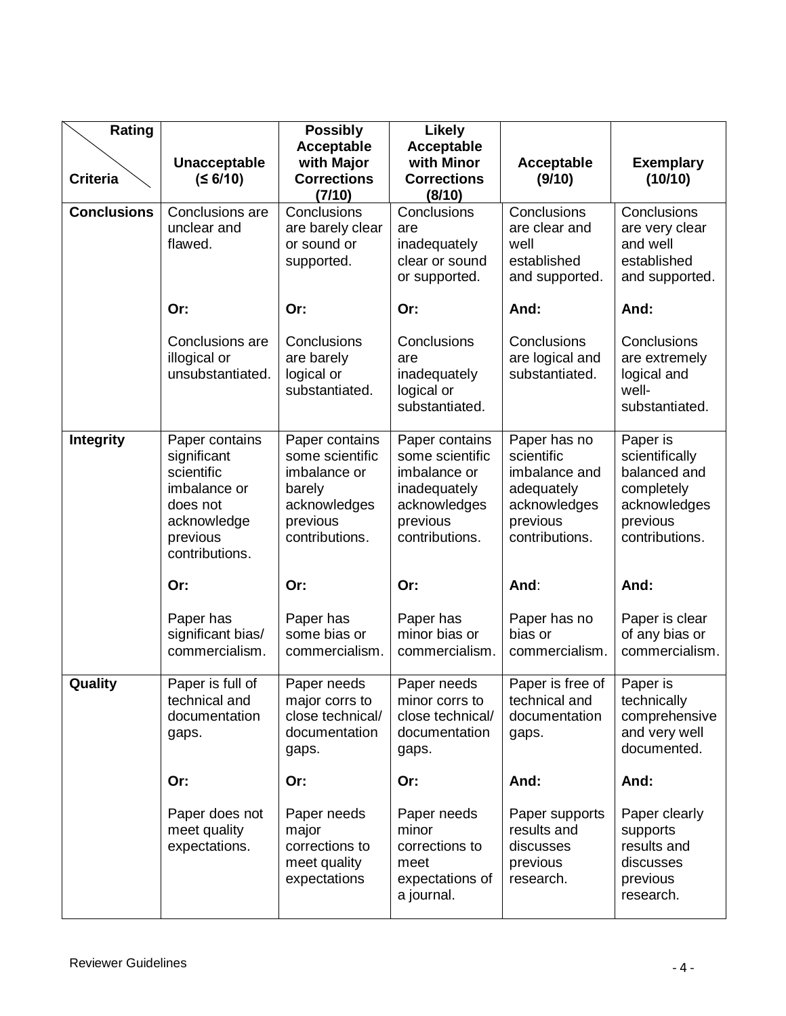| Rating             |                                                                                                                      | <b>Possibly</b>                                                                                           | <b>Likely</b>                                                                                                   |                                                                                                         |                                                                                                        |
|--------------------|----------------------------------------------------------------------------------------------------------------------|-----------------------------------------------------------------------------------------------------------|-----------------------------------------------------------------------------------------------------------------|---------------------------------------------------------------------------------------------------------|--------------------------------------------------------------------------------------------------------|
| <b>Criteria</b>    | Unacceptable<br>(56/10)                                                                                              | Acceptable<br>with Major<br><b>Corrections</b><br>(7/10)                                                  | Acceptable<br>with Minor<br><b>Corrections</b><br>(8/10)                                                        | Acceptable<br>(9/10)                                                                                    | <b>Exemplary</b><br>(10/10)                                                                            |
| <b>Conclusions</b> | Conclusions are<br>unclear and<br>flawed.                                                                            | Conclusions<br>are barely clear<br>or sound or<br>supported.                                              | Conclusions<br>are<br>inadequately<br>clear or sound<br>or supported.                                           | Conclusions<br>are clear and<br>well<br>established<br>and supported.                                   | Conclusions<br>are very clear<br>and well<br>established<br>and supported.                             |
|                    | Or:                                                                                                                  | Or:                                                                                                       | Or:                                                                                                             | And:                                                                                                    | And:                                                                                                   |
|                    | Conclusions are<br>illogical or<br>unsubstantiated.                                                                  | Conclusions<br>are barely<br>logical or<br>substantiated.                                                 | Conclusions<br>are<br>inadequately<br>logical or<br>substantiated.                                              | Conclusions<br>are logical and<br>substantiated.                                                        | Conclusions<br>are extremely<br>logical and<br>well-<br>substantiated.                                 |
| <b>Integrity</b>   | Paper contains<br>significant<br>scientific<br>imbalance or<br>does not<br>acknowledge<br>previous<br>contributions. | Paper contains<br>some scientific<br>imbalance or<br>barely<br>acknowledges<br>previous<br>contributions. | Paper contains<br>some scientific<br>imbalance or<br>inadequately<br>acknowledges<br>previous<br>contributions. | Paper has no<br>scientific<br>imbalance and<br>adequately<br>acknowledges<br>previous<br>contributions. | Paper is<br>scientifically<br>balanced and<br>completely<br>acknowledges<br>previous<br>contributions. |
|                    | Or:                                                                                                                  | Or:                                                                                                       | Or:                                                                                                             | And:                                                                                                    | And:                                                                                                   |
|                    | Paper has<br>significant bias/<br>commercialism.                                                                     | Paper has<br>some bias or<br>commercialism.                                                               | Paper has<br>minor bias or<br>commercialism.                                                                    | Paper has no<br>bias or<br>commercialism.                                                               | Paper is clear<br>of any bias or<br>commercialism.                                                     |
| Quality            | Paper is full of<br>technical and<br>documentation<br>gaps.                                                          | Paper needs<br>major corrs to<br>close technical/<br>documentation<br>gaps.                               | Paper needs<br>minor corrs to<br>close technical/<br>documentation<br>gaps.                                     | Paper is free of<br>technical and<br>documentation<br>gaps.                                             | Paper is<br>technically<br>comprehensive<br>and very well<br>documented.                               |
|                    | Or:                                                                                                                  | Or:                                                                                                       | Or:                                                                                                             | And:                                                                                                    | And:                                                                                                   |
|                    | Paper does not<br>meet quality<br>expectations.                                                                      | Paper needs<br>major<br>corrections to<br>meet quality<br>expectations                                    | Paper needs<br>minor<br>corrections to<br>meet<br>expectations of<br>a journal.                                 | Paper supports<br>results and<br>discusses<br>previous<br>research.                                     | Paper clearly<br>supports<br>results and<br>discusses<br>previous<br>research.                         |